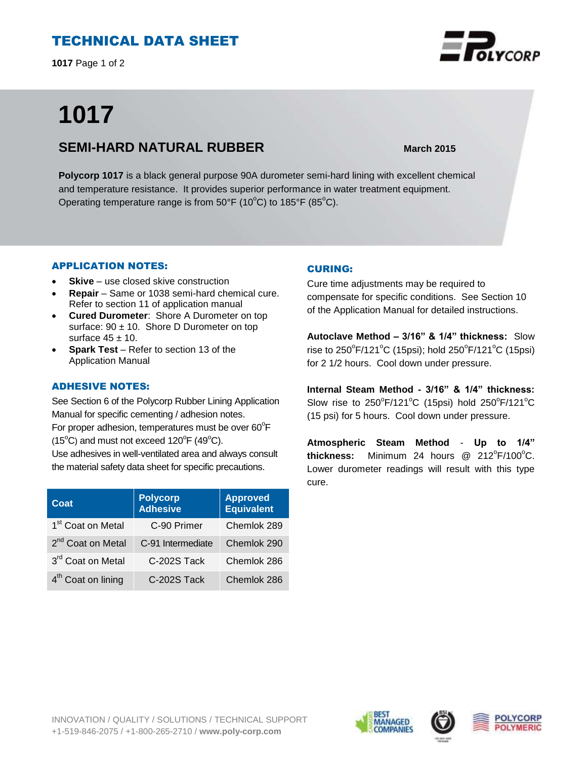# TECHNICAL DATA SHEET

**1017** Page 1 of 2

# **1017**

## **SEMI-HARD NATURAL RUBBER** March 2015

**Polycorp 1017** is a black general purpose 90A durometer semi-hard lining with excellent chemical and temperature resistance. It provides superior performance in water treatment equipment. Operating temperature range is from  $50^{\circ}F$  (10<sup>o</sup>C) to 185<sup>o</sup>C).

## APPLICATION NOTES:

- **Skive** use closed skive construction
- **Repair**  Same or 1038 semi-hard chemical cure. Refer to section 11 of application manual
- **Cured Durometer**: Shore A Durometer on top surface:  $90 \pm 10$ . Shore D Durometer on top surface  $45 \pm 10$ .
- **Spark Test**  Refer to section 13 of the Application Manual

## ADHESIVE NOTES:

See Section 6 of the Polycorp Rubber Lining Application Manual for specific cementing / adhesion notes. For proper adhesion, temperatures must be over  $60^{\circ}$ F  $(15^{\circ}C)$  and must not exceed  $120^{\circ}F(49^{\circ}C)$ . Use adhesives in well-ventilated area and always consult

the material safety data sheet for specific precautions.

| Coat                           | <b>Polycorp</b><br><b>Adhesive</b> | <b>Approved</b><br>Equivalent |
|--------------------------------|------------------------------------|-------------------------------|
| 1 <sup>st</sup> Coat on Metal  | C-90 Primer                        | Chemlok 289                   |
| 2 <sup>nd</sup> Coat on Metal  | C-91 Intermediate                  | Chemlok 290                   |
| 3rd Coat on Metal              | C-202S Tack                        | Chemlok 286                   |
| 4 <sup>th</sup> Coat on lining | C-202S Tack                        | Chemlok 286                   |

## CURING:

Cure time adjustments may be required to compensate for specific conditions. See Section 10 of the Application Manual for detailed instructions.

**Autoclave Method – 3/16" & 1/4" thickness:** Slow rise to 250 $\degree$ F/121 $\degree$ C (15psi); hold 250 $\degree$ F/121 $\degree$ C (15psi) for 2 1/2 hours. Cool down under pressure.

**Internal Steam Method - 3/16" & 1/4" thickness:** Slow rise to  $250^{\circ}F/121^{\circ}C$  (15psi) hold  $250^{\circ}F/121^{\circ}C$ (15 psi) for 5 hours. Cool down under pressure.

**Atmospheric Steam Method** - **Up to 1/4"** thickness: Minimum 24 hours @ 212°F/100°C. Lower durometer readings will result with this type cure.